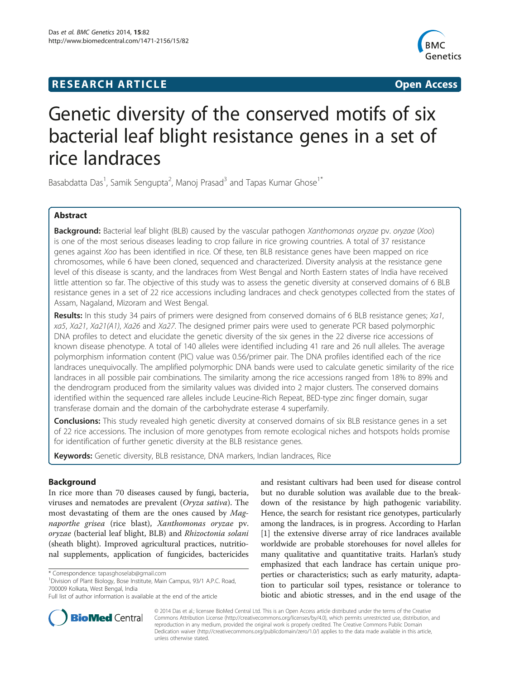## **RESEARCH ARTICLE Example 2014 CONSIDERING CONSIDERING CONSIDERING CONSIDERING CONSIDERING CONSIDERING CONSIDERING CONSIDERING CONSIDERING CONSIDERING CONSIDERING CONSIDERING CONSIDERING CONSIDERING CONSIDERING CONSIDE**



# Genetic diversity of the conserved motifs of six bacterial leaf blight resistance genes in a set of rice landraces

Basabdatta Das<sup>1</sup>, Samik Sengupta<sup>2</sup>, Manoj Prasad<sup>3</sup> and Tapas Kumar Ghose<sup>1\*</sup>

## Abstract

Background: Bacterial leaf blight (BLB) caused by the vascular pathogen Xanthomonas oryzae pv. oryzae (Xoo) is one of the most serious diseases leading to crop failure in rice growing countries. A total of 37 resistance genes against Xoo has been identified in rice. Of these, ten BLB resistance genes have been mapped on rice chromosomes, while 6 have been cloned, sequenced and characterized. Diversity analysis at the resistance gene level of this disease is scanty, and the landraces from West Bengal and North Eastern states of India have received little attention so far. The objective of this study was to assess the genetic diversity at conserved domains of 6 BLB resistance genes in a set of 22 rice accessions including landraces and check genotypes collected from the states of Assam, Nagaland, Mizoram and West Bengal.

Results: In this study 34 pairs of primers were designed from conserved domains of 6 BLB resistance genes; Xa1, xa5, Xa21, Xa21(A1), Xa26 and Xa27. The designed primer pairs were used to generate PCR based polymorphic DNA profiles to detect and elucidate the genetic diversity of the six genes in the 22 diverse rice accessions of known disease phenotype. A total of 140 alleles were identified including 41 rare and 26 null alleles. The average polymorphism information content (PIC) value was 0.56/primer pair. The DNA profiles identified each of the rice landraces unequivocally. The amplified polymorphic DNA bands were used to calculate genetic similarity of the rice landraces in all possible pair combinations. The similarity among the rice accessions ranged from 18% to 89% and the dendrogram produced from the similarity values was divided into 2 major clusters. The conserved domains identified within the sequenced rare alleles include Leucine-Rich Repeat, BED-type zinc finger domain, sugar transferase domain and the domain of the carbohydrate esterase 4 superfamily.

**Conclusions:** This study revealed high genetic diversity at conserved domains of six BLB resistance genes in a set of 22 rice accessions. The inclusion of more genotypes from remote ecological niches and hotspots holds promise for identification of further genetic diversity at the BLB resistance genes.

Keywords: Genetic diversity, BLB resistance, DNA markers, Indian landraces, Rice

## Background

In rice more than 70 diseases caused by fungi, bacteria, viruses and nematodes are prevalent (Oryza sativa). The most devastating of them are the ones caused by Magnaporthe grisea (rice blast), Xanthomonas oryzae pv. oryzae (bacterial leaf blight, BLB) and Rhizoctonia solani (sheath blight). Improved agricultural practices, nutritional supplements, application of fungicides, bactericides

<sup>1</sup> Division of Plant Biology, Bose Institute, Main Campus, 93/1 A.P.C. Road, 700009 Kolkata, West Bengal, India

and resistant cultivars had been used for disease control but no durable solution was available due to the breakdown of the resistance by high pathogenic variability. Hence, the search for resistant rice genotypes, particularly among the landraces, is in progress. According to Harlan [[1\]](#page-13-0) the extensive diverse array of rice landraces available worldwide are probable storehouses for novel alleles for many qualitative and quantitative traits. Harlan's study emphasized that each landrace has certain unique properties or characteristics; such as early maturity, adaptation to particular soil types, resistance or tolerance to biotic and abiotic stresses, and in the end usage of the



© 2014 Das et al.; licensee BioMed Central Ltd. This is an Open Access article distributed under the terms of the Creative Commons Attribution License [\(http://creativecommons.org/licenses/by/4.0\)](http://creativecommons.org/licenses/by/4.0), which permits unrestricted use, distribution, and reproduction in any medium, provided the original work is properly credited. The Creative Commons Public Domain Dedication waiver [\(http://creativecommons.org/publicdomain/zero/1.0/](http://creativecommons.org/publicdomain/zero/1.0/)) applies to the data made available in this article, unless otherwise stated.

<sup>\*</sup> Correspondence: [tapasghoselab@gmail.com](mailto:tapasghoselab@gmail.com) <sup>1</sup>

Full list of author information is available at the end of the article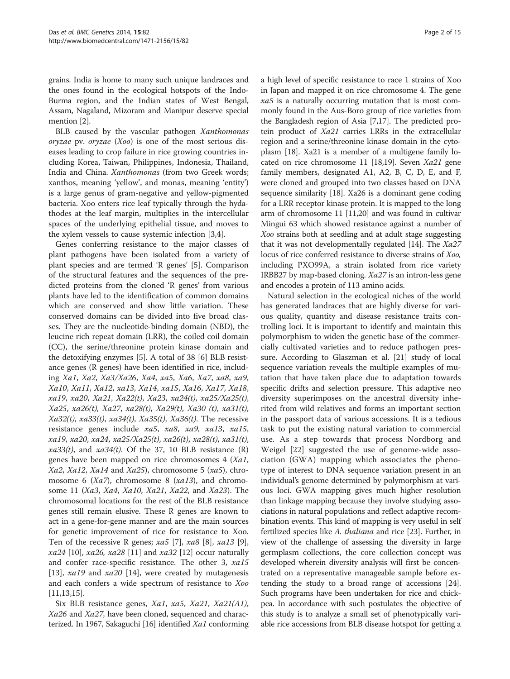grains. India is home to many such unique landraces and the ones found in the ecological hotspots of the Indo-Burma region, and the Indian states of West Bengal, Assam, Nagaland, Mizoram and Manipur deserve special mention [\[2\]](#page-13-0).

BLB caused by the vascular pathogen Xanthomonas oryzae pv. oryzae (Xoo) is one of the most serious diseases leading to crop failure in rice growing countries including Korea, Taiwan, Philippines, Indonesia, Thailand, India and China. Xanthomonas (from two Greek words; xanthos, meaning 'yellow', and monas, meaning 'entity') is a large genus of gram-negative and yellow-pigmented bacteria. Xoo enters rice leaf typically through the hydathodes at the leaf margin, multiplies in the intercellular spaces of the underlying epithelial tissue, and moves to the xylem vessels to cause systemic infection [\[3,4](#page-13-0)].

Genes conferring resistance to the major classes of plant pathogens have been isolated from a variety of plant species and are termed 'R genes' [\[5](#page-13-0)]. Comparison of the structural features and the sequences of the predicted proteins from the cloned 'R genes' from various plants have led to the identification of common domains which are conserved and show little variation. These conserved domains can be divided into five broad classes. They are the nucleotide-binding domain (NBD), the leucine rich repeat domain (LRR), the coiled coil domain (CC), the serine/threonine protein kinase domain and the detoxifying enzymes [\[5](#page-13-0)]. A total of 38 [\[6](#page-13-0)] BLB resistance genes (R genes) have been identified in rice, including Xa1, Xa2, Xa3/Xa26, Xa4, xa5, Xa6, Xa7, xa8, xa9, Xa10, Xa11, Xa12, xa13, Xa14, xa15, Xa16, Xa17, Xa18, xa19, xa20, Xa21, Xa22(t), Xa23, xa24(t), xa25/Xa25(t), Xa25, xa26(t), Xa27, xa28(t), Xa29(t), Xa30 (t), xa31(t),  $Xa32(t)$ , xa33(t), xa34(t),  $Xa35(t)$ ,  $Xa36(t)$ . The recessive resistance genes include xa5, xa8, xa9, xa13, xa15, xa19, xa20, xa24, xa25/Xa25(t), xa26(t), xa28(t), xa31(t),  $xa33(t)$ , and  $xa34(t)$ . Of the 37, 10 BLB resistance (R) genes have been mapped on rice chromosomes 4 (Xa1,  $Xa2, Xa12, Xa14$  and  $Xa25$ ), chromosome 5 ( $xa5$ ), chromosome 6  $(Xa7)$ , chromosome 8  $(xa13)$ , and chromosome 11 (Xa3, Xa4, Xa10, Xa21, Xa22, and Xa23). The chromosomal locations for the rest of the BLB resistance genes still remain elusive. These R genes are known to act in a gene-for-gene manner and are the main sources for genetic improvement of rice for resistance to Xoo. Ten of the recessive R genes;  $xa5$  [\[7](#page-13-0)],  $xa8$  [[8\]](#page-13-0),  $xa13$  [\[9](#page-13-0)], xa24 [[10\]](#page-13-0), xa26, xa28 [\[11](#page-13-0)] and xa32 [[12](#page-13-0)] occur naturally and confer race-specific resistance. The other 3, xa15 [[13\]](#page-13-0), xa19 and xa20 [[14\]](#page-13-0), were created by mutagenesis and each confers a wide spectrum of resistance to Xoo  $[11,13,15]$  $[11,13,15]$ .

Six BLB resistance genes, Xa1, xa5, Xa21, Xa21(A1), Xa26 and Xa27, have been cloned, sequenced and characterized. In 1967, Sakaguchi [[16](#page-13-0)] identified Xa1 conforming

a high level of specific resistance to race 1 strains of Xoo in Japan and mapped it on rice chromosome 4. The gene xa5 is a naturally occurring mutation that is most commonly found in the Aus-Boro group of rice varieties from the Bangladesh region of Asia [\[7,17\]](#page-13-0). The predicted protein product of Xa21 carries LRRs in the extracellular region and a serine/threonine kinase domain in the cytoplasm [[18](#page-13-0)]. Xa21 is a member of a multigene family located on rice chromosome 11 [[18,19](#page-13-0)]. Seven Xa21 gene family members, designated A1, A2, B, C, D, E, and F, were cloned and grouped into two classes based on DNA sequence similarity [\[18\]](#page-13-0). Xa26 is a dominant gene coding for a LRR receptor kinase protein. It is mapped to the long arm of chromosome 11 [[11](#page-13-0),[20](#page-13-0)] and was found in cultivar Mingui 63 which showed resistance against a number of Xoo strains both at seedling and at adult stage suggesting that it was not developmentally regulated [\[14\]](#page-13-0). The  $Xa27$ locus of rice conferred resistance to diverse strains of Xoo, including PXO99A, a strain isolated from rice variety IRBB27 by map-based cloning. Xa27 is an intron-less gene and encodes a protein of 113 amino acids.

Natural selection in the ecological niches of the world has generated landraces that are highly diverse for various quality, quantity and disease resistance traits controlling loci. It is important to identify and maintain this polymorphism to widen the genetic base of the commercially cultivated varieties and to reduce pathogen pressure. According to Glaszman et al. [[21\]](#page-13-0) study of local sequence variation reveals the multiple examples of mutation that have taken place due to adaptation towards specific drifts and selection pressure. This adaptive neo diversity superimposes on the ancestral diversity inherited from wild relatives and forms an important section in the passport data of various accessions. It is a tedious task to put the existing natural variation to commercial use. As a step towards that process Nordborg and Weigel [\[22](#page-13-0)] suggested the use of genome-wide association (GWA) mapping which associates the phenotype of interest to DNA sequence variation present in an individual's genome determined by polymorphism at various loci. GWA mapping gives much higher resolution than linkage mapping because they involve studying associations in natural populations and reflect adaptive recombination events. This kind of mapping is very useful in self fertilized species like A. thaliana and rice [\[23\]](#page-13-0). Further, in view of the challenge of assessing the diversity in large germplasm collections, the core collection concept was developed wherein diversity analysis will first be concentrated on a representative manageable sample before extending the study to a broad range of accessions [[24](#page-13-0)]. Such programs have been undertaken for rice and chickpea. In accordance with such postulates the objective of this study is to analyze a small set of phenotypically variable rice accessions from BLB disease hotspot for getting a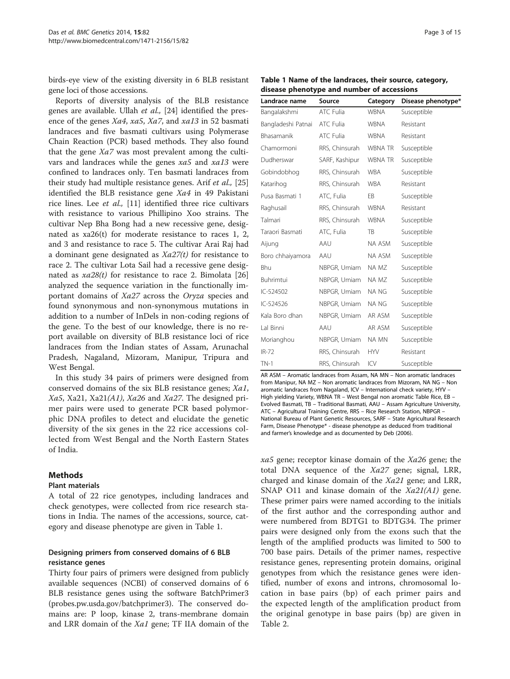birds-eye view of the existing diversity in 6 BLB resistant gene loci of those accessions.

Reports of diversity analysis of the BLB resistance genes are available. Ullah et  $al$ , [[24\]](#page-13-0) identified the presence of the genes *Xa4*, xa5, *Xa7*, and xa13 in 52 basmati landraces and five basmati cultivars using Polymerase Chain Reaction (PCR) based methods. They also found that the gene  $Xa7$  was most prevalent among the cultivars and landraces while the genes  $xa5$  and  $xa13$  were confined to landraces only. Ten basmati landraces from their study had multiple resistance genes. Arif et al., [[25](#page-13-0)] identified the BLB resistance gene Xa4 in 49 Pakistani rice lines. Lee et al., [\[11](#page-13-0)] identified three rice cultivars with resistance to various Phillipino Xoo strains. The cultivar Nep Bha Bong had a new recessive gene, designated as xa26(t) for moderate resistance to races 1, 2, and 3 and resistance to race 5. The cultivar Arai Raj had a dominant gene designated as  $Xa27(t)$  for resistance to race 2. The cultivar Lota Sail had a recessive gene designated as  $xa28(t)$  for resistance to race 2. Bimolata [[26](#page-13-0)] analyzed the sequence variation in the functionally important domains of Xa27 across the Oryza species and found synonymous and non-synonymous mutations in addition to a number of InDels in non-coding regions of the gene. To the best of our knowledge, there is no report available on diversity of BLB resistance loci of rice landraces from the Indian states of Assam, Arunachal Pradesh, Nagaland, Mizoram, Manipur, Tripura and West Bengal.

In this study 34 pairs of primers were designed from conserved domains of the six BLB resistance genes; Xa1,  $Xa5$ , Xa21, Xa21(A1), Xa26 and Xa27. The designed primer pairs were used to generate PCR based polymorphic DNA profiles to detect and elucidate the genetic diversity of the six genes in the 22 rice accessions collected from West Bengal and the North Eastern States of India.

#### Methods

## Plant materials

A total of 22 rice genotypes, including landraces and check genotypes, were collected from rice research stations in India. The names of the accessions, source, category and disease phenotype are given in Table 1.

#### Designing primers from conserved domains of 6 BLB resistance genes

Thirty four pairs of primers were designed from publicly available sequences (NCBI) of conserved domains of 6 BLB resistance genes using the software BatchPrimer3 ([probes.pw.usda.gov/batchprimer3](http://probes.pw.usda.gov/batchprimer3)). The conserved domains are: P loop, kinase 2, trans-membrane domain and LRR domain of the Xa1 gene; TF IIA domain of the

Table 1 Name of the landraces, their source, category, disease phenotype and number of accessions

| Landrace name      | Source         | Category       | Disease phenotype* |
|--------------------|----------------|----------------|--------------------|
| Bangalakshmi       | ATC Fulia      | <b>WBNA</b>    | Susceptible        |
| Bangladeshi Patnai | ATC Fulia      | WBNA           | Resistant          |
| Bhasamanik         | ATC Fulia      | <b>WBNA</b>    | Resistant          |
| Chamormoni         | RRS, Chinsurah | <b>WBNA TR</b> | Susceptible        |
| Dudherswar         | SARF, Kashipur | <b>WBNA TR</b> | Susceptible        |
| Gobindobhog        | RRS, Chinsurah | <b>WBA</b>     | Susceptible        |
| Katarihog          | RRS, Chinsurah | <b>WBA</b>     | Resistant          |
| Pusa Basmati 1     | ATC, Fulia     | EB             | Susceptible        |
| Raghusail          | RRS, Chinsurah | <b>WBNA</b>    | Resistant          |
| Talmari            | RRS, Chinsurah | <b>WBNA</b>    | Susceptible        |
| Taraori Basmati    | ATC, Fulia     | TB             | Susceptible        |
| Aijung             | AAU            | NA ASM         | Susceptible        |
| Boro chhaiyamora   | AAU            | NA ASM         | Susceptible        |
| Bhu                | NBPGR, Umiam   | NA MZ          | Susceptible        |
| Buhrimtui          | NBPGR, Umiam   | NA MZ          | Susceptible        |
| IC-524502          | NBPGR, Umiam   | NA NG          | Susceptible        |
| IC-524526          | NBPGR, Umiam   | NA NG          | Susceptible        |
| Kala Boro dhan     | NBPGR, Umiam   | AR ASM         | Susceptible        |
| Lal Binni          | AAU            | AR ASM         | Susceptible        |
| Morianghou         | NBPGR, Umiam   | NA MN          | Susceptible        |
| <b>IR-72</b>       | RRS, Chinsurah | <b>HYV</b>     | Resistant          |
| $TN-1$             | RRS, Chinsurah | ICV            | Susceptible        |

AR ASM – Aromatic landraces from Assam, NA MN – Non aromatic landraces from Manipur, NA MZ – Non aromatic landraces from Mizoram, NA NG – Non aromatic landraces from Nagaland, ICV – International check variety, HYV – High yielding Variety, WBNA TR – West Bengal non aromatic Table Rice, EB – Evolved Basmati, TB – Traditional Basmati, AAU – Assam Agriculture University, ATC – Agricultural Training Centre, RRS – Rice Research Station, NBPGR – National Bureau of Plant Genetic Resources, SARF – State Agricultural Research Farm, Disease Phenotype\* - disease phenotype as deduced from traditional and farmer's knowledge and as documented by Deb (2006).

xa5 gene; receptor kinase domain of the Xa26 gene; the total DNA sequence of the Xa27 gene; signal, LRR, charged and kinase domain of the Xa21 gene; and LRR, SNAP O11 and kinase domain of the  $Xa21(A1)$  gene. These primer pairs were named according to the initials of the first author and the corresponding author and were numbered from BDTG1 to BDTG34. The primer pairs were designed only from the exons such that the length of the amplified products was limited to 500 to 700 base pairs. Details of the primer names, respective resistance genes, representing protein domains, original genotypes from which the resistance genes were identified, number of exons and introns, chromosomal location in base pairs (bp) of each primer pairs and the expected length of the amplification product from the original genotype in base pairs (bp) are given in Table [2](#page-3-0).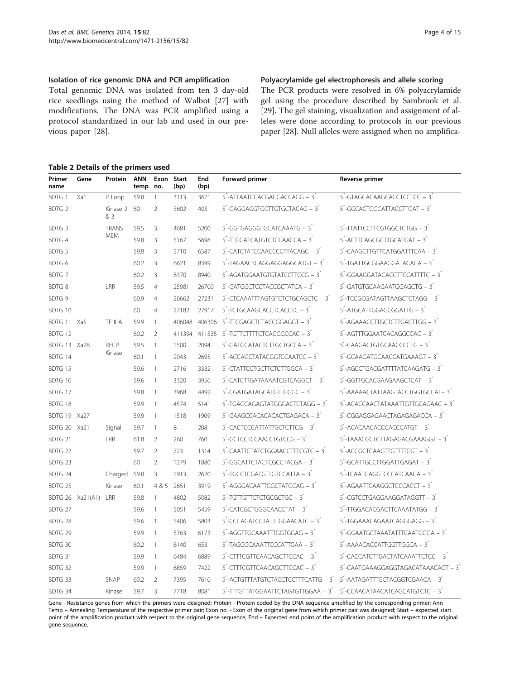#### <span id="page-3-0"></span>Isolation of rice genomic DNA and PCR amplification

Total genomic DNA was isolated from ten 3 day-old rice seedlings using the method of Walbot [[27](#page-13-0)] with modifications. The DNA was PCR amplified using a protocol standardized in our lab and used in our previous paper [[28\]](#page-13-0).

#### Polyacrylamide gel electrophoresis and allele scoring

The PCR products were resolved in 6% polyacrylamide gel using the procedure described by Sambrook et al. [[29\]](#page-13-0). The gel staining, visualization and assignment of alleles were done according to protocols in our previous paper [[28\]](#page-13-0). Null alleles were assigned when no amplifica-

#### Table 2 Details of the primers used

| Primer<br>name      | Gene                 | Protein            | <b>ANN</b><br>temp | Exon<br>no.    | <b>Start</b><br>(bp) | End<br>(bp) | Forward primer                                           | Reverse primer                                               |
|---------------------|----------------------|--------------------|--------------------|----------------|----------------------|-------------|----------------------------------------------------------|--------------------------------------------------------------|
| BDTG 1              | Xa1                  | P Loop             | 59.8               | $\mathbf{1}$   | 3113                 | 3621        | $5$ -ATTAATCCACGACGACCAGG - $3$                          | $5'$ -GTAGCACAAGCACCTCCTCC – $3'$                            |
| BDTG <sub>2</sub>   |                      | Kinase 2 60<br>& 3 |                    | $\overline{2}$ | 3602                 | 4031        | 5-GAGGAGGTGCTTGTGCTACAG - 3                              | $5$ -GGCACTGGCATTACCTTGAT - $3$                              |
| <b>BDTG3</b>        |                      | <b>TRANS</b>       | 59.5               | 3              | 4681                 | 5200        | $5 - GGTGAGGGTGCATCAAATG - 3$                            | $5$ -TTATTCCTTCGTGGCTCTGG – $3$                              |
| <b>BDTG4</b>        |                      | <b>MEM</b>         | 59.8               | 3              | 5167                 | 5698        | $5$ -TTGGATCATGTCTCCAACCA - $3$                          | $5$ -ACTTCAGCGCTTGCATGAT – $3$                               |
| <b>BDTG 5</b>       |                      |                    | 59.8               | 3              | 5710                 | 6587        | 5 <sup>-</sup> CATCTATCCAACCCCTTACAGC - 3 <sup>2</sup>   | 5 -CAAGCTTGTTCATGGATTTCAA - 3                                |
| BDTG 6              |                      |                    | 60.2               | 3              | 6621                 | 8399        | 5 - TAGAACTCAGGAGGAGGCATGT - 3                           | $5$ -TGATTGCGGAAGGATACACA – $3$                              |
| BDTG 7              |                      |                    | 60.2               | 3              | 8370                 | 8940        | $5^{\degree}$ -AGATGGAATGTGTATCCTTCCG – 3 $\degree$      | $5^{\degree}$ -GGAAGGATACACCTTCCATTTTC – $3^{\degree}$       |
| BDTG 8              |                      | LRR                | 59.5               | $\overline{4}$ | 25981                | 26700       | $5$ -GATGGCTCCTACCGCTATCA – $3$                          | $5$ -GATGTGCAAGAATGGAGCTG – $3$                              |
| BDTG 9              |                      |                    | 60.9               | $\overline{4}$ | 26662                | 27231       | 5 - CTCAAATTTAGTGTCTCTGCAGCTC - 3                        | 5 - TCCGCGATAGTTAAGCTCTAGG - 3                               |
| BDTG 10             |                      |                    | 60                 | $\overline{4}$ | 27182                | 27917       | $5'$ -TCTGCAAGCACCTCACCTC – $3'$                         | $5^{\prime}$ -ATGCATTGGAGCGGATTG – $3^{\prime}$              |
| BDTG 11 Xa5         |                      | TF II A            | 59.9               | $\mathbf{1}$   | 406048               | 406306      | $5$ -TTCGAGCTCTACCGGAGGT – $3$                           | $5^{\degree}$ -AGAAACCTTGCTCTTGACTTGG – $3^{\degree}$        |
| BDTG 12             |                      |                    | 60.2               | $\mathfrak{D}$ | 411394               | 411535      | 5-TGTTCTTTTCTCAGGGCCAC - 3                               | $5$ -AGTTTGGAATCACAGGCCAC - $3$                              |
| BDTG 13 Xa26        |                      | <b>RECP</b>        | 59.5               | $\mathbf{1}$   | 1500                 | 2094        | 5 - GATGCATACTCTTGCTGCCA - 3                             | $5$ -CAAGACTGTGCAACCCCTG - $3$                               |
| BDTG 14             |                      | Kinase             | 60.1               | $\mathbf{1}$   | 2043                 | 2695        | 5 <sup>-</sup> ACCAGCTATACGGTCCAATCC - 3 <sup>2</sup>    | $5^{\degree}$ -GCAAGATGCAACCATGAAAGT – $3^{\degree}$         |
| BDTG 15             |                      |                    | 59.6               | $\mathbf{1}$   | 2716                 | 3332        | 5 - CTATTCCTGCTTCTCTTGGCA - 3                            | $5^{\degree}$ -AGCCTGACGATTTTATCAAGATG – $3^{\degree}$       |
| BDTG 16             |                      |                    | 59.6               | $\mathbf{1}$   | 3320                 | 3956        | 5 -CATCTTGATAAAATCGTCAGGCT - 3                           | $5 - GGTTGCACGAAGAAGCTCAT - 3$                               |
| BDTG 17             |                      |                    | 59.8               | $\mathbf{1}$   | 3968                 | 4492        | $5$ -CGATGATAGCATGTTGGGC - $3$                           | 5-AAAAACTATTAAGTACCTGGTGCCAT-3                               |
| BDTG 18             |                      |                    | 59.9               | $\mathbf{1}$   | 4574                 | 5141        | $5$ -TGAGCAGAGTATGGGACTCTAGG - $3$                       | $5^{\degree}$ -ACACCAACTATAAATTGTTGCAGAAC – 3 $\degree$      |
| <b>BDTG 19 Xa27</b> |                      |                    | 59.9               | $\mathbf{1}$   | 1518                 | 1909        | $5 - GAAGCCACACACACTGAGACA - 3$                          | $5^{\degree}$ -CGGAGGAGAACTAGAGAGACCA – 3 $\degree$          |
| BDTG 20 Xa21        |                      | Signal             | 59.7               | $\mathbf{1}$   | 8                    | 208         | $5$ -CACTCCCATTATTGCTCTTCG – $3$                         | $5$ -ACACAACACCCACCCATGT – $3$                               |
| BDTG 21             |                      | LRR                | 61.8               | $\overline{2}$ | 260                  | 760         | $5^{\degree}$ -GCTCCTCCAACCTGTCCG – 3 $\degree$          | $5$ -TAAACGCTCTTAGAGACGAAAGGT - $3$                          |
| BDTG 22             |                      |                    | 59.7               | $\overline{2}$ | 723                  | 1314        | 5 <sup>-</sup> CAATTCTATCTGGAACCTTTCGTC - 3 <sup>2</sup> | $5^{\degree}$ -ACCGCTCAAGTTGTTTCGT – $3^{\degree}$           |
| BDTG 23             |                      |                    | 60                 | $\overline{2}$ | 1279                 | 1880        | $5^{\degree}$ -GGCATTCTACTCGCCTACGA – $3^{\degree}$      | $5^{\degree}$ -GCATTGCCTTGGATTGAGAT – $3^{\degree}$          |
| BDTG 24             |                      | Charged            | 59.8               | 3              | 1913                 | 2620        | $5$ -TGCCTCGATGTTGTCCATTA – $3$                          | $5$ -TCAATGAGGTCCCATCAACA - $3$                              |
| BDTG <sub>25</sub>  |                      | Kinase             | 60.1               | 4 & 5          | 2651                 | 3919        | $5^{\prime}$ -AGGGACAATTGGCTATGCAG – 3                   | $5^{\degree}$ -AGAATTCAAGGCTCCCACCT – $3^{\degree}$          |
|                     | BDTG 26 Xa21(A1) LRR |                    | 59.8               | $\mathbf{1}$   | 4802                 | 5082        | 5-TGTTGTTCTCTGCGCTGC-3                                   | 5 - CGTCCTGAGGAAGGATAGGTT - 3                                |
| BDTG 27             |                      |                    | 59.6               | $\mathbf{1}$   | 5051                 | 5459        | $5$ -CATCGCTGGGCAACCTAT – $3$                            | $5^{\degree}$ -TTGGACACGACTTCAAATATGG – $3^{\degree}$        |
| BDTG 28             |                      |                    | 59.6               | $\mathbf{1}$   | 5406                 | 5803        | $5$ -CCCAGATCCTATTTGGAACATC - $3$                        | $5 - TGGAAACAGAATCAGGGAGG - 3$                               |
| BDTG 29             |                      |                    | 59.9               | $\mathbf{1}$   | 5763                 | 6173        | $5$ -AGGTTGCAAATTTGGTGGAG – $3$                          | 5 - GGAATGCTAAATATTTCAATGGGA - 3                             |
| BDTG 30             |                      |                    | 60.2               | $\mathbf{1}$   | 6140                 | 6531        | $5$ -TAGGGCAAATTCCCATTGAA – $3$                          | $5$ -AAAACACCATTGGTTGGCA - $3$                               |
| BDTG 31             |                      |                    | 59.9               | $\mathbf{1}$   | 6484                 | 6889        | $5$ -CTTTCGTTCAACAGCTTCCAC – $3$                         | 5 <sup>-</sup> CACCATCTTGACTATCAAATTCTCC - 3 <sup>2</sup>    |
| BDTG 32             |                      |                    | 59.9               | $\mathbf{1}$   | 6859                 | 7422        | 5 - CTTTCGTTCAACAGCTTCCAC - 3                            | 5 <sup>'</sup> -CAATGAAAGGAGGTAGACATAAACAGT - 3 <sup>'</sup> |
| BDTG 33             |                      | SNAP               | 60.2               | $\overline{2}$ | 7395                 | 7610        | 5 - ACTGTTTATGTCTACCTCCTTTCATTG - 3                      | 5 - AATAGATTTGCTACGGTCGAACA - 3                              |
| BDTG 34             |                      | Kinase             | 59.7               | 3              | 7718                 | 8081        | 5´-TTTGTTATGGAATTCTAGTGTTGGAA – 3´                       | $5^{\prime}$ -CCAACATAACATCAGCATGTCTC – $3^{\prime}$         |

Gene - Resistance genes from which the primers were designed; Protein - Protein coded by the DNA sequence amplified by the corresponding primer; Ann Temp – Annealing Temperature of the respective primer pair; Exon no. - Exon of the original gene from which primer pair was designed; Start – expected start point of the amplification product with respect to the original gene sequence, End – Expected end point of the amplification product with respect to the original gene sequence.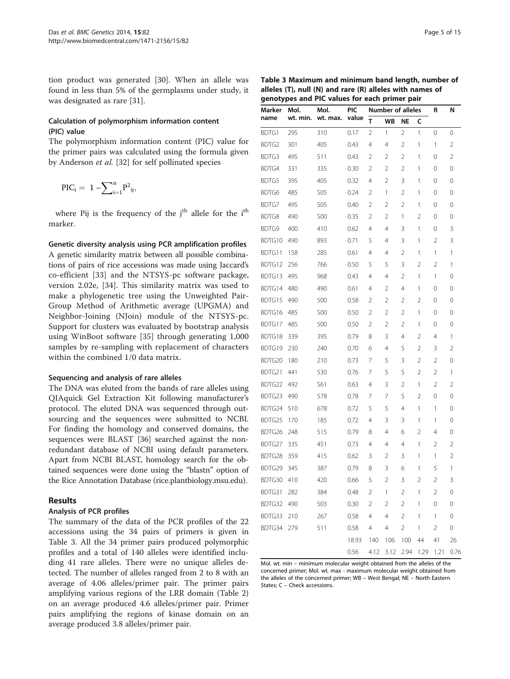tion product was generated [[30\]](#page-13-0). When an allele was found in less than 5% of the germplasms under study, it was designated as rare [\[31](#page-13-0)].

#### Calculation of polymorphism information content (PIC) value

The polymorphism information content (PIC) value for the primer pairs was calculated using the formula given by Anderson et al. [[32](#page-13-0)] for self pollinated species

$$
PIC_i = \; 1 - \! \! \sum\nolimits_{i=1}^{n} {P^2}_{ij},
$$

where Pij is the frequency of the  $i<sup>th</sup>$  allele for the  $i<sup>th</sup>$ marker.

Genetic diversity analysis using PCR amplification profiles

A genetic similarity matrix between all possible combinations of pairs of rice accessions was made using Jaccard's co-efficient [\[33](#page-13-0)] and the NTSYS-pc software package, version 2.02e, [\[34](#page-13-0)]. This similarity matrix was used to make a phylogenetic tree using the Unweighted Pair-Group Method of Arithmetic average (UPGMA) and Neighbor-Joining (NJoin) module of the NTSYS-pc. Support for clusters was evaluated by bootstrap analysis using WinBoot software [[35\]](#page-13-0) through generating 1,000 samples by re-sampling with replacement of characters within the combined 1/0 data matrix.

#### Sequencing and analysis of rare alleles

The DNA was eluted from the bands of rare alleles using QIAquick Gel Extraction Kit following manufacturer's protocol. The eluted DNA was sequenced through outsourcing and the sequences were submitted to NCBI. For finding the homology and conserved domains, the sequences were BLAST [[36](#page-13-0)] searched against the nonredundant database of NCBI using default parameters. Apart from NCBI BLAST, homology search for the obtained sequences were done using the "blastn" option of the Rice Annotation Database [\(rice.plantbiology.msu.edu\)](http://rice.plantbiology.msu.edu).

#### Results

#### Analysis of PCR profiles

The summary of the data of the PCR profiles of the 22 accessions using the 34 pairs of primers is given in Table 3. All the 34 primer pairs produced polymorphic profiles and a total of 140 alleles were identified including 41 rare alleles. There were no unique alleles detected. The number of alleles ranged from 2 to 8 with an average of 4.06 alleles/primer pair. The primer pairs amplifying various regions of the LRR domain (Table [2](#page-3-0)) on an average produced 4.6 alleles/primer pair. Primer pairs amplifying the regions of kinase domain on an average produced 3.8 alleles/primer pair.

| Table 3 Maximum and minimum band length, number of       |
|----------------------------------------------------------|
| alleles (T), null (N) and rare (R) alleles with names of |
| genotypes and PIC values for each primer pair            |

| Mol.<br>Marker |          | Mol.     | PIC   |                | <b>Number of alleles</b> |                |      | R    | N    |
|----------------|----------|----------|-------|----------------|--------------------------|----------------|------|------|------|
| name           | wt. min. | wt. max. | value | T              | WB                       | NE             | c    |      |      |
| BDTG1          | 295      | 310      | 0.17  | 2              | 1                        | $\overline{2}$ | 1    | 0    | 0    |
| BDTG2          | 301      | 405      | 0.43  | 4              | 4                        | 2              | 1    | 1    | 2    |
| BDTG3          | 495      | 511      | 0.43  | 2              | 2                        | 2              | 1    | 0    | 2    |
| BDTG4          | 331      | 335      | 0.30  | 2              | 2                        | 2              | 1    | 0    | 0    |
| BDTG5          | 395      | 405      | 0.32  | 4              | 2                        | 3              | 1    | 0    | 0    |
| BDTG6          | 485      | 505      | 0.24  | 2              | 1                        | 2              | 1    | 0    | 0    |
| BDTG7          | 495      | 505      | 0.40  | 2              | 2                        | $\overline{2}$ | 1    | 0    | 0    |
| BDTG8          | 490      | 500      | 0.35  | 2              | 2                        | 1              | 2    | 0    | 0    |
| BDTG9          | 400      | 410      | 0.62  | 4              | 4                        | 3              | 1    | 0    | 3    |
| BDTG10         | 490      | 893      | 0.71  | 5              | 4                        | 3              | 1    | 2    | 3    |
| BDTG11         | 158      | 285      | 0.61  | 4              | 4                        | 2              | 1    | 1    | 1    |
| BDTG12         | 256      | 766      | 0.50  | 5              | 5                        | 3              | 2    | 2    | 1    |
| BDTG13         | 495      | 968      | 0.43  | 4              | 4                        | 2              | 1    | 1    | 0    |
| BDTG14         | 480      | 490      | 0.61  | 4              | 2                        | 4              | 1    | 0    | 0    |
| BDTG15         | 490      | 500      | 0.58  | 2              | 2                        | 2              | 2    | 0    | 0    |
| BDTG16         | 485      | 500      | 0.50  | 2              | $\overline{2}$           | $\overline{2}$ | 1    | 0    | 0    |
| BDTG17         | 485      | 500      | 0.50  | 2              | 2                        | 2              | 1    | 0    | 0    |
| BDTG18         | 339      | 395      | 0.79  | 8              | 3                        | 4              | 2    | 4    | 1    |
| BDTG19         | 230      | 240      | 0.70  | 6              | 4                        | 5              | 2    | 3    | 2    |
| BDTG20         | 180      | 210      | 0.73  | 7              | 5                        | 3              | 2    | 2    | 0    |
| BDTG21         | 441      | 530      | 0.76  | 7              | 5                        | 5              | 2    | 2    | 1    |
| BDTG22         | 492      | 561      | 0.63  | 4              | 3                        | $\overline{2}$ | 1    | 2    | 2    |
| BDTG23         | 490      | 578      | 0.78  | 7              | 7                        | 5              | 2    | 0    | 0    |
| BDTG24         | 510      | 678      | 0.72  | 5              | 5                        | 4              | 1    | 1    | 0    |
| BDTG25         | 170      | 185      | 0.72  | 4              | 3                        | 3              | 1    | 1    | 0    |
| BDTG26         | 248      | 515      | 0.79  | 8              | 4                        | 6              | 2    | 4    | 0    |
| BDTG27         | 335      | 451      | 0.73  | 4              | 4                        | 4              | 1    | 2    | 2    |
| BDTG28         | 359      | 415      | 0.62  | 3              | 2                        | 3              | 1    | 1    | 2    |
| BDTG29         | 345      | 387      | 0.79  | 8              | 3                        | 6              | 1    | 5    | 1    |
| BDTG30         | 410      | 420      | 0.66  | 5              | 2                        | 3              | 2    | 2    | 3    |
| BDTG31         | 282      | 384      | 0.48  | 2              | 1                        | 2              | 1    | 2    | 0    |
| BDTG32         | 490      | 503      | 0.30  | $\overline{2}$ | 2                        | 2              | 1    | 0    | 0    |
| BDTG33         | 210      | 267      | 0.58  | 4              | 4                        | $\overline{2}$ | 1    | 1    | 0    |
| BDTG34         | 279      | 511      | 0.58  | 4              | 4                        | $\overline{2}$ | 1    | 2    | 0    |
|                |          |          | 18.93 | 140            | 106                      | 100            | 44   | 41   | 26   |
|                |          |          | 0.56  | 4.12           | 3.12                     | 2.94           | 1.29 | 1.21 | 0.76 |

Mol. wt. min – minimum molecular weight obtained from the alleles of the concerned primer; Mol. wt. max - maximum molecular weight obtained from the alleles of the concerned primer; WB – West Bengal; NE – North Eastern States; C – Check accessions.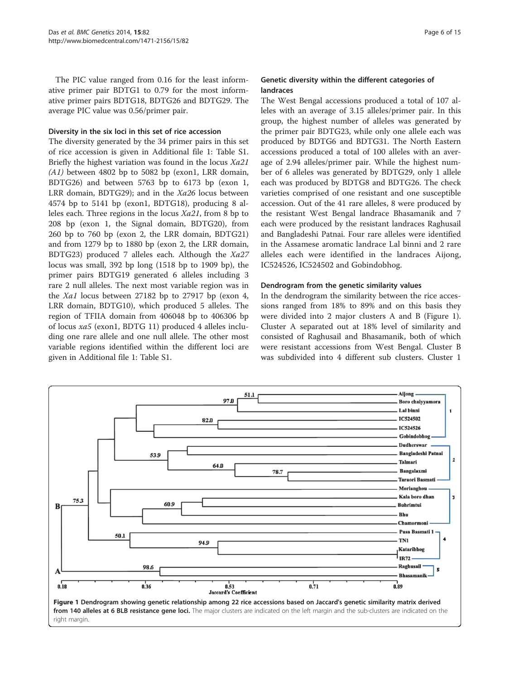The PIC value ranged from 0.16 for the least informative primer pair BDTG1 to 0.79 for the most informative primer pairs BDTG18, BDTG26 and BDTG29. The average PIC value was 0.56/primer pair.

#### Diversity in the six loci in this set of rice accession

The diversity generated by the 34 primer pairs in this set of rice accession is given in Additional file [1](#page-12-0): Table S1. Briefly the highest variation was found in the locus Xa21 (A1) between 4802 bp to 5082 bp (exon1, LRR domain, BDTG26) and between 5763 bp to 6173 bp (exon 1, LRR domain, BDTG29); and in the  $Xa26$  locus between 4574 bp to 5141 bp (exon1, BDTG18), producing 8 alleles each. Three regions in the locus Xa21, from 8 bp to 208 bp (exon 1, the Signal domain, BDTG20), from 260 bp to 760 bp (exon 2, the LRR domain, BDTG21) and from 1279 bp to 1880 bp (exon 2, the LRR domain, BDTG23) produced 7 alleles each. Although the Xa27 locus was small, 392 bp long (1518 bp to 1909 bp), the primer pairs BDTG19 generated 6 alleles including 3 rare 2 null alleles. The next most variable region was in the Xa1 locus between 27182 bp to 27917 bp (exon 4, LRR domain, BDTG10), which produced 5 alleles. The region of TFIIA domain from 406048 bp to 406306 bp of locus xa5 (exon1, BDTG 11) produced 4 alleles including one rare allele and one null allele. The other most variable regions identified within the different loci are given in Additional file [1](#page-12-0): Table S1.

#### Genetic diversity within the different categories of landraces

The West Bengal accessions produced a total of 107 alleles with an average of 3.15 alleles/primer pair. In this group, the highest number of alleles was generated by the primer pair BDTG23, while only one allele each was produced by BDTG6 and BDTG31. The North Eastern accessions produced a total of 100 alleles with an average of 2.94 alleles/primer pair. While the highest number of 6 alleles was generated by BDTG29, only 1 allele each was produced by BDTG8 and BDTG26. The check varieties comprised of one resistant and one susceptible accession. Out of the 41 rare alleles, 8 were produced by the resistant West Bengal landrace Bhasamanik and 7 each were produced by the resistant landraces Raghusail and Bangladeshi Patnai. Four rare alleles were identified in the Assamese aromatic landrace Lal binni and 2 rare alleles each were identified in the landraces Aijong, IC524526, IC524502 and Gobindobhog.

#### Dendrogram from the genetic similarity values

In the dendrogram the similarity between the rice accessions ranged from 18% to 89% and on this basis they were divided into 2 major clusters A and B (Figure 1). Cluster A separated out at 18% level of similarity and consisted of Raghusail and Bhasamanik, both of which were resistant accessions from West Bengal. Cluster B was subdivided into 4 different sub clusters. Cluster 1

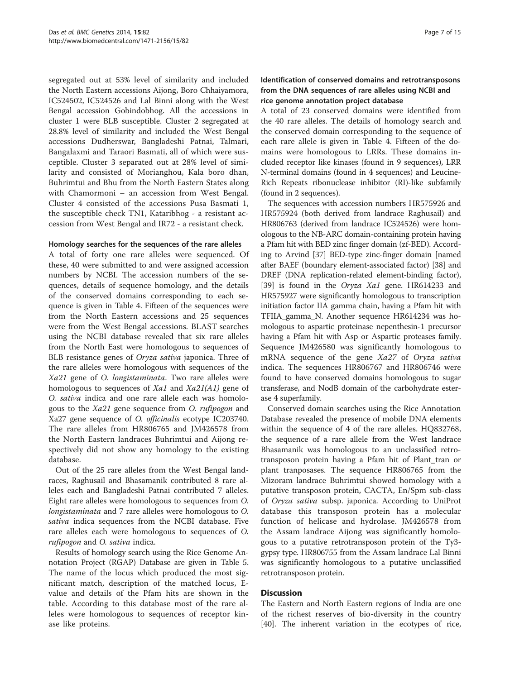segregated out at 53% level of similarity and included the North Eastern accessions Aijong, Boro Chhaiyamora, IC524502, IC524526 and Lal Binni along with the West Bengal accession Gobindobhog. All the accessions in cluster 1 were BLB susceptible. Cluster 2 segregated at 28.8% level of similarity and included the West Bengal accessions Dudherswar, Bangladeshi Patnai, Talmari, Bangalaxmi and Taraori Basmati, all of which were susceptible. Cluster 3 separated out at 28% level of similarity and consisted of Morianghou, Kala boro dhan, Buhrimtui and Bhu from the North Eastern States along with Chamormoni – an accession from West Bengal. Cluster 4 consisted of the accessions Pusa Basmati 1, the susceptible check TN1, Kataribhog - a resistant accession from West Bengal and IR72 - a resistant check.

#### Homology searches for the sequences of the rare alleles

A total of forty one rare alleles were sequenced. Of these, 40 were submitted to and were assigned accession numbers by NCBI. The accession numbers of the sequences, details of sequence homology, and the details of the conserved domains corresponding to each sequence is given in Table [4.](#page-7-0) Fifteen of the sequences were from the North Eastern accessions and 25 sequences were from the West Bengal accessions. BLAST searches using the NCBI database revealed that six rare alleles from the North East were homologous to sequences of BLB resistance genes of Oryza sativa japonica. Three of the rare alleles were homologous with sequences of the Xa21 gene of O. longistaminata. Two rare alleles were homologous to sequences of  $Xa1$  and  $Xa21(A1)$  gene of O. sativa indica and one rare allele each was homologous to the Xa21 gene sequence from O. rufipogon and Xa27 gene sequence of O. officinalis ecotype IC203740. The rare alleles from HR806765 and JM426578 from the North Eastern landraces Buhrimtui and Aijong respectively did not show any homology to the existing database.

Out of the 25 rare alleles from the West Bengal landraces, Raghusail and Bhasamanik contributed 8 rare alleles each and Bangladeshi Patnai contributed 7 alleles. Eight rare alleles were homologous to sequences from O. longistaminata and 7 rare alleles were homologous to O. sativa indica sequences from the NCBI database. Five rare alleles each were homologous to sequences of O. rufipogon and O. sativa indica.

Results of homology search using the Rice Genome Annotation Project (RGAP) Database are given in Table [5](#page-9-0). The name of the locus which produced the most significant match, description of the matched locus, Evalue and details of the Pfam hits are shown in the table. According to this database most of the rare alleles were homologous to sequences of receptor kinase like proteins.

## Identification of conserved domains and retrotransposons from the DNA sequences of rare alleles using NCBI and rice genome annotation project database

A total of 23 conserved domains were identified from the 40 rare alleles. The details of homology search and the conserved domain corresponding to the sequence of each rare allele is given in Table [4](#page-7-0). Fifteen of the domains were homologous to LRRs. These domains included receptor like kinases (found in 9 sequences), LRR N-terminal domains (found in 4 sequences) and Leucine-Rich Repeats ribonuclease inhibitor (RI)-like subfamily (found in 2 sequences).

The sequences with accession numbers HR575926 and HR575924 (both derived from landrace Raghusail) and HR806763 (derived from landrace IC524526) were homologous to the NB-ARC domain-containing protein having a Pfam hit with BED zinc finger domain (zf-BED). According to Arvind [\[37\]](#page-13-0) BED-type zinc-finger domain [named after BAEF (boundary element-associated factor) [[38](#page-13-0)] and DREF (DNA replication-related element-binding factor), [[39](#page-13-0)] is found in the Oryza Xa1 gene. HR614233 and HR575927 were significantly homologous to transcription initiation factor IIA gamma chain, having a Pfam hit with TFIIA\_gamma\_N. Another sequence HR614234 was homologous to aspartic proteinase nepenthesin-1 precursor having a Pfam hit with Asp or Aspartic proteases family. Sequence JM426580 was significantly homologous to mRNA sequence of the gene Xa27 of Oryza sativa indica. The sequences HR806767 and HR806746 were found to have conserved domains homologous to sugar transferase, and NodB domain of the carbohydrate esterase 4 superfamily.

Conserved domain searches using the Rice Annotation Database revealed the presence of mobile DNA elements within the sequence of 4 of the rare alleles. HQ832768, the sequence of a rare allele from the West landrace Bhasamanik was homologous to an unclassified retrotransposon protein having a Pfam hit of Plant\_tran or plant tranposases. The sequence HR806765 from the Mizoram landrace Buhrimtui showed homology with a putative transposon protein, CACTA, En/Spm sub-class of Oryza sativa subsp. japonica. According to UniProt database this transposon protein has a molecular function of helicase and hydrolase. JM426578 from the Assam landrace Aijong was significantly homologous to a putative retrotransposon protein of the Ty3 gypsy type. HR806755 from the Assam landrace Lal Binni was significantly homologous to a putative unclassified retrotransposon protein.

## **Discussion**

The Eastern and North Eastern regions of India are one of the richest reserves of bio-diversity in the country [[40](#page-13-0)]. The inherent variation in the ecotypes of rice,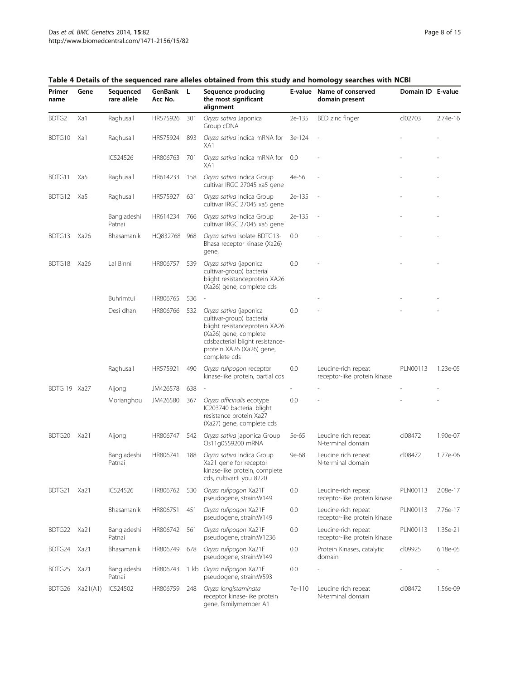| Primer<br>name | Gene     | Sequenced<br>rare allele | GenBank<br>Acc No. | L    | Sequence producing<br>the most significant<br>alignment                                                                                                                                       |        | E-value Name of conserved<br>domain present         | Domain ID E-value |          |
|----------------|----------|--------------------------|--------------------|------|-----------------------------------------------------------------------------------------------------------------------------------------------------------------------------------------------|--------|-----------------------------------------------------|-------------------|----------|
| BDTG2          | Xa1      | Raghusail                | HR575926           | 301  | Oryza sativa Japonica<br>Group cDNA                                                                                                                                                           | 2e-135 | BED zinc finger                                     | cl02703           | 2.74e-16 |
| BDTG10         | Xa1      | Raghusail                | HR575924           | 893  | Oryza sativa indica mRNA for<br>XA <sub>1</sub>                                                                                                                                               | 3e-124 |                                                     |                   |          |
|                |          | IC524526                 | HR806763           | 701  | Oryza sativa indica mRNA for<br>XA1                                                                                                                                                           | 0.0    |                                                     |                   |          |
| BDTG11         | Xa5      | Raghusail                | HR614233           | 158  | Oryza sativa Indica Group<br>cultivar IRGC 27045 xa5 gene                                                                                                                                     | 4e-56  |                                                     |                   |          |
| BDTG12         | Xa5      | Raghusail                | HR575927           | 631  | Oryza sativa Indica Group<br>cultivar IRGC 27045 xa5 gene                                                                                                                                     | 2e-135 |                                                     |                   |          |
|                |          | Bangladeshi<br>Patnai    | HR614234           | 766  | Oryza sativa Indica Group<br>cultivar IRGC 27045 xa5 gene                                                                                                                                     | 2e-135 |                                                     |                   |          |
| BDTG13         | Xa26     | Bhasamanik               | HQ832768           | 968  | Oryza sativa isolate BDTG13-<br>Bhasa receptor kinase (Xa26)<br>gene,                                                                                                                         | 0.0    |                                                     |                   |          |
| BDTG18         | Xa26     | Lal Binni                | HR806757           | 539  | Oryza sativa (japonica<br>cultivar-group) bacterial<br>blight resistanceprotein XA26<br>(Xa26) gene, complete cds                                                                             | 0.0    |                                                     |                   |          |
|                |          | Buhrimtui                | HR806765           | 536  |                                                                                                                                                                                               |        |                                                     |                   |          |
|                |          | Desi dhan                | HR806766           | 532  | Oryza sativa (japonica<br>cultivar-group) bacterial<br>blight resistanceprotein XA26<br>(Xa26) gene, complete<br>cdsbacterial blight resistance-<br>protein XA26 (Xa26) gene,<br>complete cds | 0.0    |                                                     |                   |          |
|                |          | Raghusail                | HR575921           | 490  | Oryza rufipogon receptor<br>kinase-like protein, partial cds                                                                                                                                  | 0.0    | Leucine-rich repeat<br>receptor-like protein kinase | PLN00113          | 1.23e-05 |
| BDTG 19 Xa27   |          | Aijong                   | JM426578           | 638  |                                                                                                                                                                                               |        |                                                     |                   |          |
|                |          | Morianghou               | JM426580           | 367  | Oryza officinalis ecotype<br>IC203740 bacterial blight<br>resistance protein Xa27<br>(Xa27) gene, complete cds                                                                                | 0.0    |                                                     |                   |          |
| BDTG20         | Xa21     | Aijong                   | HR806747           | 542  | Oryza sativa japonica Group<br>Os11g0559200 mRNA                                                                                                                                              | 5e-65  | Leucine rich repeat<br>N-terminal domain            | cl08472           | 1.90e-07 |
|                |          | Bangladeshi<br>Patnai    | HR806741           | 188  | Oryza sativa Indica Group<br>Xa21 gene for receptor<br>kinase-like protein, complete<br>cds, cultivar: Il you 8220                                                                            | 9e-68  | Leucine rich repeat<br>N-terminal domain            | cl08472           | 1.77e-06 |
| BDTG21         | Xa21     | IC524526                 | HR806762           | 530  | Oryza rufipogon Xa21F<br>pseudogene, strain:W149                                                                                                                                              | 0.0    | Leucine-rich repeat<br>receptor-like protein kinase | PLN00113          | 2.08e-17 |
|                |          | Bhasamanik               | HR806751           | 451  | Oryza rufipogon Xa21F<br>pseudogene, strain:W149                                                                                                                                              | 0.0    | Leucine-rich repeat<br>receptor-like protein kinase | PLN00113          | 7.76e-17 |
| BDTG22         | Xa21     | Bangladeshi<br>Patnai    | HR806742           | 561  | Oryza rufipogon Xa21F<br>pseudogene, strain:W1236                                                                                                                                             | 0.0    | Leucine-rich repeat<br>receptor-like protein kinase | PLN00113          | 1.35e-21 |
| BDTG24         | Xa21     | Bhasamanik               | HR806749           | 678  | Oryza rufipogon Xa21F<br>pseudogene, strain:W149                                                                                                                                              | 0.0    | Protein Kinases, catalytic<br>domain                | cl09925           | 6.18e-05 |
| BDTG25         | Xa21     | Bangladeshi<br>Patnai    | HR806743           | 1 kb | Oryza rufipogon Xa21F<br>pseudogene, strain:W593                                                                                                                                              | 0.0    |                                                     |                   | ÷.       |
| BDTG26         | Xa21(A1) | IC524502                 | HR806759           | 248  | Oryza longistaminata<br>receptor kinase-like protein<br>gene, familymember A1                                                                                                                 | 7e-110 | Leucine rich repeat<br>N-terminal domain            | cl08472           | 1.56e-09 |

## <span id="page-7-0"></span>Table 4 Details of the sequenced rare alleles obtained from this study and homology searches with NCBI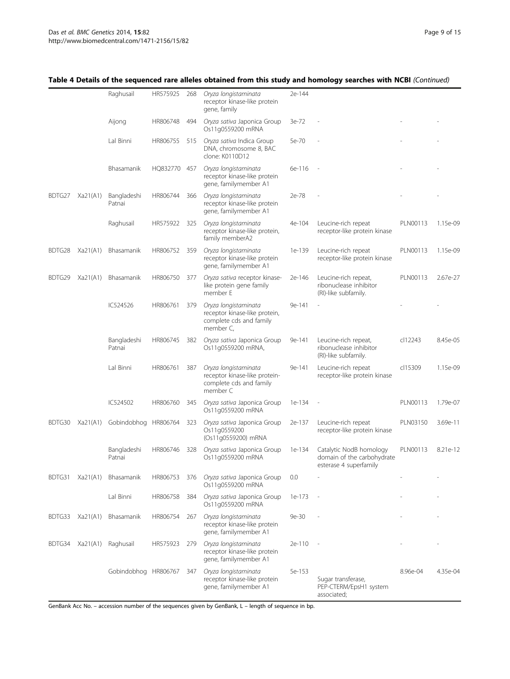## Table 4 Details of the sequenced rare alleles obtained from this study and homology searches with NCBI (Continued)

|        |          | Raghusail             | HR575925 | 268 | Oryza longistaminata<br>receptor kinase-like protein                                          | 2e-144 |                                                                                 |          |          |
|--------|----------|-----------------------|----------|-----|-----------------------------------------------------------------------------------------------|--------|---------------------------------------------------------------------------------|----------|----------|
|        |          |                       |          |     | gene, family                                                                                  |        |                                                                                 |          |          |
|        |          | Aijong                | HR806748 | 494 | Oryza sativa Japonica Group<br>Os11g0559200 mRNA                                              | 3e-72  |                                                                                 |          |          |
|        |          | Lal Binni             | HR806755 | 515 | Oryza sativa Indica Group<br>DNA, chromosome 8, BAC<br>clone: K0110D12                        | 5e-70  |                                                                                 |          |          |
|        |          | Bhasamanik            | HQ832770 | 457 | Oryza longistaminata<br>receptor kinase-like protein<br>gene, familymember A1                 | 6e-116 |                                                                                 |          |          |
| BDTG27 | Xa21(A1) | Bangladeshi<br>Patnai | HR806744 | 366 | Oryza longistaminata<br>receptor kinase-like protein<br>gene, familymember A1                 | 2e-78  |                                                                                 |          |          |
|        |          | Raghusail             | HR575922 | 325 | Oryza longistaminata<br>receptor kinase-like protein,<br>family memberA2                      | 4e-104 | Leucine-rich repeat<br>receptor-like protein kinase                             | PLN00113 | 1.15e-09 |
| BDTG28 | Xa21(A1) | Bhasamanik            | HR806752 | 359 | Oryza longistaminata<br>receptor kinase-like protein<br>gene, familymember A1                 | 1e-139 | Leucine-rich repeat<br>receptor-like protein kinase                             | PLN00113 | 1.15e-09 |
| BDTG29 | Xa21(A1) | Bhasamanik            | HR806750 | 377 | Oryza sativa receptor kinase-<br>like protein gene family<br>member E                         | 2e-146 | Leucine-rich repeat,<br>ribonuclease inhibitor<br>(RI)-like subfamily.          | PLN00113 | 2.67e-27 |
|        |          | IC524526              | HR806761 | 379 | Oryza longistaminata<br>receptor kinase-like protein,<br>complete cds and family<br>member C, | 9e-141 |                                                                                 |          |          |
|        |          | Bangladeshi<br>Patnai | HR806745 | 382 | Oryza sativa Japonica Group<br>Os11g0559200 mRNA,                                             | 9e-141 | Leucine-rich repeat,<br>ribonuclease inhibitor<br>(RI)-like subfamily.          | cl12243  | 8.45e-05 |
|        |          | Lal Binni             | HR806761 | 387 | Oryza longistaminata<br>receptor kinase-like protein-<br>complete cds and family<br>member C  | 9e-141 | Leucine-rich repeat<br>receptor-like protein kinase                             | cl15309  | 1.15e-09 |
|        |          | IC524502              | HR806760 | 345 | Oryza sativa Japonica Group<br>Os11g0559200 mRNA                                              | 1e-134 |                                                                                 | PLN00113 | 1.79e-07 |
| BDTG30 | Xa21(A1) | Gobindobhog HR806764  |          | 323 | Oryza sativa Japonica Group<br>Os11q0559200<br>(Os11g0559200) mRNA                            | 2e-137 | Leucine-rich repeat<br>receptor-like protein kinase                             | PLN03150 | 3.69e-11 |
|        |          | Bangladeshi<br>Patnai | HR806746 | 328 | Oryza sativa Japonica Group<br>Os11g0559200 mRNA                                              | 1e-134 | Catalytic NodB homology<br>domain of the carbohydrate<br>esterase 4 superfamily | PLN00113 | 8.21e-12 |
| BDTG31 |          | Xa21(A1) Bhasamanik   | HR806753 | 376 | Oryza sativa Japonica Group<br>Os11g0559200 mRNA                                              | 0.0    |                                                                                 |          |          |
|        |          | Lal Binni             | HR806758 | 384 | Oryza sativa Japonica Group<br>Os11q0559200 mRNA                                              | 1e-173 |                                                                                 |          |          |
| BDTG33 | Xa21(A1) | Bhasamanik            | HR806754 | 267 | Oryza longistaminata<br>receptor kinase-like protein<br>gene, familymember A1                 | 9e-30  |                                                                                 |          |          |
| BDTG34 | Xa21(A1) | Raghusail             | HR575923 | 279 | Oryza longistaminata<br>receptor kinase-like protein<br>gene, familymember A1                 | 2e-110 |                                                                                 |          |          |
|        |          | Gobindobhog HR806767  |          | 347 | Oryza longistaminata<br>receptor kinase-like protein<br>gene, familymember A1                 | 5e-153 | Sugar transferase,<br>PEP-CTERM/EpsH1 system<br>associated;                     | 8.96e-04 | 4.35e-04 |

GenBank Acc No. – accession number of the sequences given by GenBank, L – length of sequence in bp.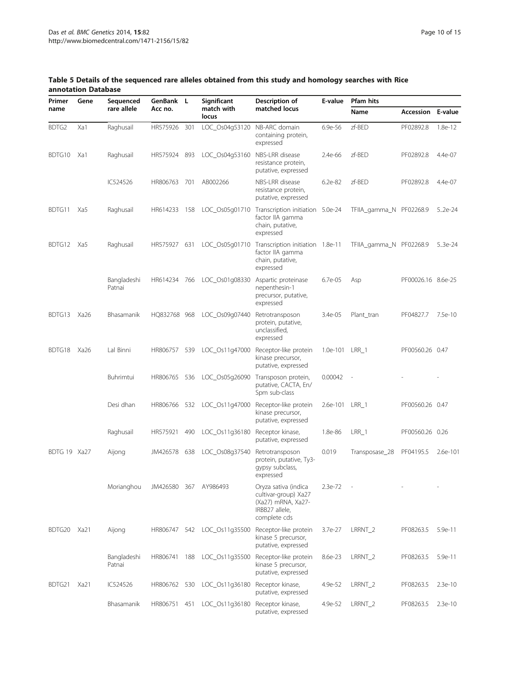### <span id="page-9-0"></span>Table 5 Details of the sequenced rare alleles obtained from this study and homology searches with Rice annotation Database

| Primer       | Gene | Sequenced             | GenBank L    |     | Significant                                  | Description of                                                                                       | E-value        | Pfam hits               |                          |           |
|--------------|------|-----------------------|--------------|-----|----------------------------------------------|------------------------------------------------------------------------------------------------------|----------------|-------------------------|--------------------------|-----------|
| name         |      | rare allele           | Acc no.      |     | match with<br>locus                          | matched locus                                                                                        |                | Name                    | <b>Accession E-value</b> |           |
| BDTG2        | Xa1  | Raghusail             | HR575926     | 301 | LOC_Os04g53120                               | NB-ARC domain<br>containing protein,<br>expressed                                                    | 6.9e-56        | zf-BED                  | PF02892.8                | 1.8e-12   |
| BDTG10       | Xa1  | Raghusail             | HR575924     | 893 | LOC_Os04g53160                               | NBS-LRR disease<br>resistance protein,<br>putative, expressed                                        | $2.4e-66$      | zf-BED                  | PF02892.8                | 4.4e-07   |
|              |      | IC524526              | HR806763     | 701 | AB002266                                     | NBS-LRR disease<br>resistance protein,<br>putative, expressed                                        | 6.2e-82        | zf-BED                  | PF02892.8                | 4.4e-07   |
| BDTG11       | Xa5  | Raghusail             | HR614233 158 |     | LOC_Os05g01710                               | Transcription initiation 5.0e-24<br>factor IIA gamma<br>chain, putative,<br>expressed                |                | TFIIA_gamma_N PF02268.9 |                          | $5.2e-24$ |
| BDTG12       | Xa5  | Raghusail             |              |     | HR575927 631 LOC_Os05g01710                  | Transcription initiation 1.8e-11<br>factor IIA gamma<br>chain, putative,<br>expressed                |                | TFIIA_gamma_N PF02268.9 |                          | $5.3e-24$ |
|              |      | Bangladeshi<br>Patnai | HR614234 766 |     | LOC Os01q08330                               | Aspartic proteinase<br>nepenthesin-1<br>precursor, putative,<br>expressed                            | 6.7e-05        | Asp                     | PF00026.16 8.6e-25       |           |
| BDTG13       | Xa26 | Bhasamanik            | HQ832768 968 |     | LOC_Os09q07440                               | Retrotransposon<br>protein, putative,<br>unclassified,<br>expressed                                  | 3.4e-05        | Plant_tran              | PF04827.7                | 7.5e-10   |
| BDTG18       | Xa26 | Lal Binni             | HR806757 539 |     | LOC_Os11g47000                               | Receptor-like protein<br>kinase precursor,<br>putative, expressed                                    | 1.0e-101 LRR_1 |                         | PF00560.26 0.47          |           |
|              |      | Buhrimtui             | HR806765     | 536 | LOC_Os05q26090                               | Transposon protein,<br>putative, CACTA, En/<br>Spm sub-class                                         | 0.00042        |                         |                          |           |
|              |      | Desi dhan             |              |     | HR806766 532 LOC_Os11g47000                  | Receptor-like protein<br>kinase precursor,<br>putative, expressed                                    | 2.6e-101 LRR_1 |                         | PF00560.26 0.47          |           |
|              |      | Raghusail             | HR575921     | 490 | LOC_Os11g36180                               | Receptor kinase,<br>putative, expressed                                                              | 1.8e-86        | $LRR_1$                 | PF00560.26 0.26          |           |
| BDTG 19 Xa27 |      | Aijong                | JM426578     | 638 | LOC_Os08g37540                               | Retrotransposon<br>protein, putative, Ty3-<br>gypsy subclass,<br>expressed                           | 0.019          | Transposase_28          | PF04195.5                | 2.6e-101  |
|              |      | Morianghou            | JM426580     | 367 | AY986493                                     | Oryza sativa (indica<br>cultivar-group) Xa27<br>(Xa27) mRNA, Xa27-<br>IRBB27 allele,<br>complete cds | 2.3e-72        |                         |                          |           |
| BDTG20       | Xa21 | Aijong                |              |     | HR806747 542 LOC_Os11g35500                  | Receptor-like protein<br>kinase 5 precursor,<br>putative, expressed                                  | 3.7e-27        | LRRNT_2                 | PF08263.5                | $5.9e-11$ |
|              |      | Bangladeshi<br>Patnai | HR806741     | 188 | LOC_Os11g35500                               | Receptor-like protein<br>kinase 5 precursor,<br>putative, expressed                                  | 8.6e-23        | LRRNT_2                 | PF08263.5                | $5.9e-11$ |
| BDTG21       | Xa21 | IC524526              | HR806762 530 |     | LOC_Os11g36180                               | Receptor kinase,<br>putative, expressed                                                              | 4.9e-52        | LRRNT_2                 | PF08263.5                | $2.3e-10$ |
|              |      | Bhasamanik            |              |     | HR806751 451 LOC_Os11g36180 Receptor kinase, | putative, expressed                                                                                  | 4.9e-52        | LRRNT_2                 | PF08263.5                | $2.3e-10$ |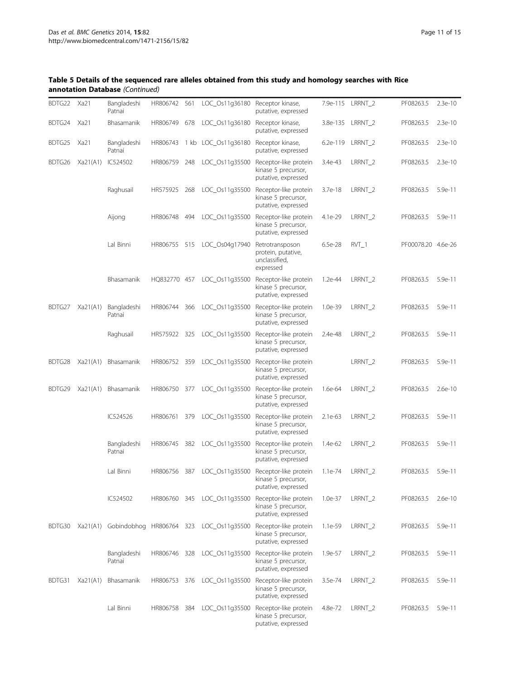#### Table 5 Details of the sequenced rare alleles obtained from this study and homology searches with Rice annotation Database (Continued)

| BDTG22 | Xa21     | Bangladeshi<br>Patnai | HR806742     | 561   | LOC_Os11g36180                                   | Receptor kinase,<br>putative, expressed                             |           | 7.9e-115 LRRNT_2   | PF08263.5          | $2.3e-10$ |
|--------|----------|-----------------------|--------------|-------|--------------------------------------------------|---------------------------------------------------------------------|-----------|--------------------|--------------------|-----------|
| BDTG24 | Xa21     | Bhasamanik            | HR806749 678 |       | LOC 0s11g36180                                   | Receptor kinase,<br>putative, expressed                             |           | 3.8e-135 LRRNT_2   | PF08263.5          | $2.3e-10$ |
| BDTG25 | Xa21     | Bangladeshi<br>Patnai | HR806743     |       | 1 kb LOC_Os11g36180                              | Receptor kinase,<br>putative, expressed                             |           | 6.2e-119 LRRNT_2   | PF08263.5          | $2.3e-10$ |
| BDTG26 |          | Xa21(A1) IC524502     | HR806759     | 248   | LOC_Os11g35500                                   | Receptor-like protein<br>kinase 5 precursor,<br>putative, expressed | 3.4e-43   | LRRNT_2            | PF08263.5          | $2.3e-10$ |
|        |          | Raghusail             | HR575925 268 |       | LOC_Os11g35500                                   | Receptor-like protein<br>kinase 5 precursor,<br>putative, expressed | 3.7e-18   | LRRNT_2            | PF08263.5          | $5.9e-11$ |
|        |          | Aijong                | HR806748     | 494   | LOC_Os11q35500                                   | Receptor-like protein<br>kinase 5 precursor,<br>putative, expressed | 4.1e-29   | LRRNT <sub>2</sub> | PF08263.5          | $5.9e-11$ |
|        |          | Lal Binni             | HR806755 515 |       | LOC_Os04g17940                                   | Retrotransposon<br>protein, putative,<br>unclassified,<br>expressed | 6.5e-28   | $RVT_1$            | PF00078.20 4.6e-26 |           |
|        |          | Bhasamanik            |              |       | HQ832770 457 LOC_Os11g35500                      | Receptor-like protein<br>kinase 5 precursor,<br>putative, expressed | 1.2e-44   | LRRNT_2            | PF08263.5          | $5.9e-11$ |
| BDTG27 | Xa21(A1) | Bangladeshi<br>Patnai | HR806744     | 366   | LOC Os11q35500                                   | Receptor-like protein<br>kinase 5 precursor,<br>putative, expressed | $1.0e-39$ | LRRNT_2            | PF08263.5          | 5.9e-11   |
|        |          | Raghusail             | HR575922 325 |       | LOC_Os11g35500                                   | Receptor-like protein<br>kinase 5 precursor,<br>putative, expressed | 2.4e-48   | LRRNT_2            | PF08263.5          | 5.9e-11   |
| BDTG28 |          | Xa21(A1) Bhasamanik   | HR806752     | - 359 | LOC_Os11g35500                                   | Receptor-like protein<br>kinase 5 precursor,<br>putative, expressed |           | LRRNT_2            | PF08263.5          | 5.9e-11   |
| BDTG29 |          | Xa21(A1) Bhasamanik   |              |       | HR806750 377 LOC_Os11g35500                      | Receptor-like protein<br>kinase 5 precursor,<br>putative, expressed | 1.6e-64   | LRRNT_2            | PF08263.5          | $2.6e-10$ |
|        |          | IC524526              | HR806761     | 379   | LOC_Os11q35500                                   | Receptor-like protein<br>kinase 5 precursor,<br>putative, expressed | 2.1e-63   | LRRNT_2            | PF08263.5          | 5.9e-11   |
|        |          | Bangladeshi<br>Patnai |              |       | HR806745 382 LOC_Os11g35500                      | Receptor-like protein<br>kinase 5 precursor,<br>putative, expressed | 1.4e-62   | LRRNT_2            | PF08263.5          | $5.9e-11$ |
|        |          | Lal Binni             | HR806756     | 387   | LOC_Os11q35500                                   | Receptor-like protein<br>kinase 5 precursor,<br>putative, expressed | 1.1e-74   | LRRNT_2            | PF08263.5          | 5.9e-11   |
|        |          | IC524502              |              |       | HR806760 345 LOC Os11q35500                      | Receptor-like protein<br>kinase 5 precursor,<br>putative, expressed | $1.0e-37$ | LRRNT_2            | PF08263.5          | $2.6e-10$ |
| BDTG30 |          |                       |              |       | Xa21(A1) Gobindobhog HR806764 323 LOC_Os11g35500 | Receptor-like protein<br>kinase 5 precursor,<br>putative, expressed | 1.1e-59   | LRRNT_2            | PF08263.5          | $5.9e-11$ |
|        |          | Bangladeshi<br>Patnai |              |       | HR806746 328 LOC_Os11g35500                      | Receptor-like protein<br>kinase 5 precursor,<br>putative, expressed | 1.9e-57   | LRRNT_2            | PF08263.5          | $5.9e-11$ |
| BDTG31 |          | Xa21(A1) Bhasamanik   |              |       | HR806753 376 LOC_Os11g35500                      | Receptor-like protein<br>kinase 5 precursor,<br>putative, expressed | 3.5e-74   | LRRNT_2            | PF08263.5          | 5.9e-11   |
|        |          | Lal Binni             |              |       | HR806758 384 LOC_Os11g35500                      | Receptor-like protein<br>kinase 5 precursor,<br>putative, expressed | 4.8e-72   | LRRNT_2            | PF08263.5          | $5.9e-11$ |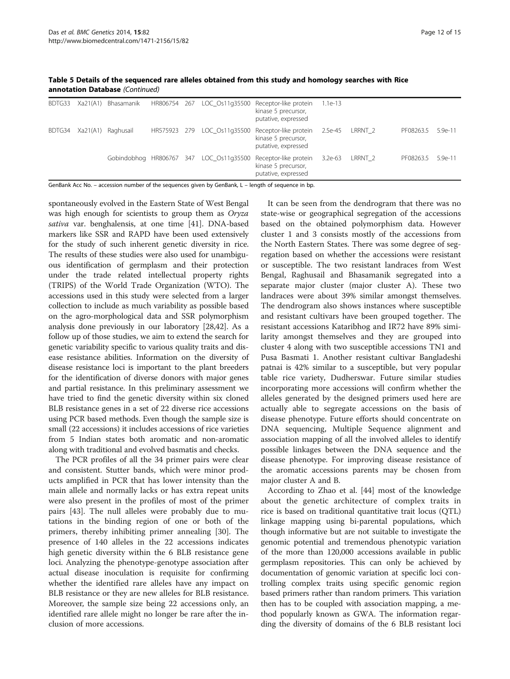Table 5 Details of the sequenced rare alleles obtained from this study and homology searches with Rice annotation Database (Continued)

| BDTG33 | Xa21(A1) | Bhasamanik  |  |                             | HR806754 267 LOC_Os11g35500 Receptor-like protein<br>kinase 5 precursor,<br>putative, expressed         | 1.1e-13   |                    |           |           |
|--------|----------|-------------|--|-----------------------------|---------------------------------------------------------------------------------------------------------|-----------|--------------------|-----------|-----------|
| BDTG34 | Xa21(A1) | Raghusail   |  |                             | HR575923 279 LOC Os11g35500 Receptor-like protein 2.5e-45<br>kinase 5 precursor,<br>putative, expressed |           | LRRNT <sub>2</sub> | PF08263.5 | $5.9e-11$ |
|        |          | Gobindobhoa |  | HR806767 347 LOC Os11q35500 | Receptor-like protein<br>kinase 5 precursor,<br>putative, expressed                                     | $3.2e-63$ | LRRNT <sub>2</sub> | PF08263.5 | $5.9e-11$ |

GenBank Acc No. – accession number of the sequences given by GenBank, L – length of sequence in bp.

spontaneously evolved in the Eastern State of West Bengal was high enough for scientists to group them as Oryza sativa var. benghalensis, at one time [[41\]](#page-13-0). DNA-based markers like SSR and RAPD have been used extensively for the study of such inherent genetic diversity in rice. The results of these studies were also used for unambiguous identification of germplasm and their protection under the trade related intellectual property rights (TRIPS) of the World Trade Organization (WTO). The accessions used in this study were selected from a larger collection to include as much variability as possible based on the agro-morphological data and SSR polymorphism analysis done previously in our laboratory [\[28,42](#page-13-0)]. As a follow up of those studies, we aim to extend the search for genetic variability specific to various quality traits and disease resistance abilities. Information on the diversity of disease resistance loci is important to the plant breeders for the identification of diverse donors with major genes and partial resistance. In this preliminary assessment we have tried to find the genetic diversity within six cloned BLB resistance genes in a set of 22 diverse rice accessions using PCR based methods. Even though the sample size is small (22 accessions) it includes accessions of rice varieties from 5 Indian states both aromatic and non-aromatic along with traditional and evolved basmatis and checks.

The PCR profiles of all the 34 primer pairs were clear and consistent. Stutter bands, which were minor products amplified in PCR that has lower intensity than the main allele and normally lacks or has extra repeat units were also present in the profiles of most of the primer pairs [\[43](#page-13-0)]. The null alleles were probably due to mutations in the binding region of one or both of the primers, thereby inhibiting primer annealing [\[30](#page-13-0)]. The presence of 140 alleles in the 22 accessions indicates high genetic diversity within the 6 BLB resistance gene loci. Analyzing the phenotype-genotype association after actual disease inoculation is requisite for confirming whether the identified rare alleles have any impact on BLB resistance or they are new alleles for BLB resistance. Moreover, the sample size being 22 accessions only, an identified rare allele might no longer be rare after the inclusion of more accessions.

It can be seen from the dendrogram that there was no state-wise or geographical segregation of the accessions based on the obtained polymorphism data. However cluster 1 and 3 consists mostly of the accessions from the North Eastern States. There was some degree of segregation based on whether the accessions were resistant or susceptible. The two resistant landraces from West Bengal, Raghusail and Bhasamanik segregated into a separate major cluster (major cluster A). These two landraces were about 39% similar amongst themselves. The dendrogram also shows instances where susceptible and resistant cultivars have been grouped together. The resistant accessions Kataribhog and IR72 have 89% similarity amongst themselves and they are grouped into cluster 4 along with two susceptible accessions TN1 and Pusa Basmati 1. Another resistant cultivar Bangladeshi patnai is 42% similar to a susceptible, but very popular table rice variety, Dudherswar. Future similar studies incorporating more accessions will confirm whether the alleles generated by the designed primers used here are actually able to segregate accessions on the basis of disease phenotype. Future efforts should concentrate on DNA sequencing, Multiple Sequence alignment and association mapping of all the involved alleles to identify possible linkages between the DNA sequence and the disease phenotype. For improving disease resistance of the aromatic accessions parents may be chosen from major cluster A and B.

According to Zhao et al. [[44](#page-13-0)] most of the knowledge about the genetic architecture of complex traits in rice is based on traditional quantitative trait locus (QTL) linkage mapping using bi-parental populations, which though informative but are not suitable to investigate the genomic potential and tremendous phenotypic variation of the more than 120,000 accessions available in public germplasm repositories. This can only be achieved by documentation of genomic variation at specific loci controlling complex traits using specific genomic region based primers rather than random primers. This variation then has to be coupled with association mapping, a method popularly known as GWA. The information regarding the diversity of domains of the 6 BLB resistant loci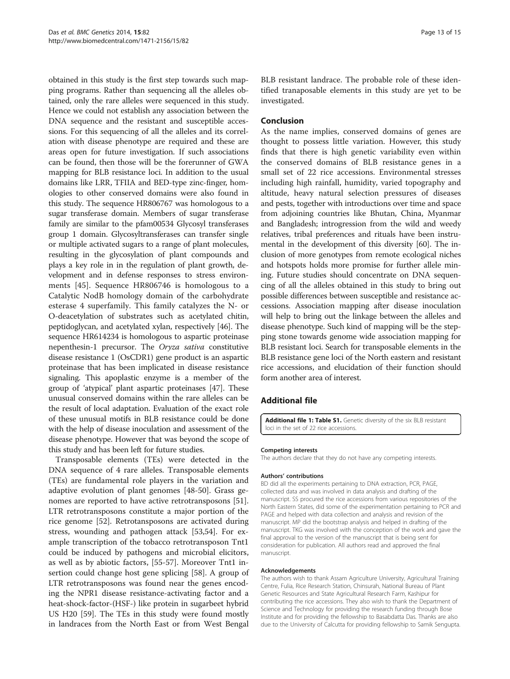<span id="page-12-0"></span>obtained in this study is the first step towards such mapping programs. Rather than sequencing all the alleles obtained, only the rare alleles were sequenced in this study. Hence we could not establish any association between the DNA sequence and the resistant and susceptible accessions. For this sequencing of all the alleles and its correlation with disease phenotype are required and these are areas open for future investigation. If such associations can be found, then those will be the forerunner of GWA mapping for BLB resistance loci. In addition to the usual domains like LRR, TFIIA and BED-type zinc-finger, homologies to other conserved domains were also found in this study. The sequence HR806767 was homologous to a sugar transferase domain. Members of sugar transferase family are similar to the pfam00534 Glycosyl transferases group 1 domain. Glycosyltransferases can transfer single or multiple activated sugars to a range of plant molecules, resulting in the glycosylation of plant compounds and plays a key role in in the regulation of plant growth, development and in defense responses to stress environments [[45\]](#page-14-0). Sequence HR806746 is homologous to a Catalytic NodB homology domain of the carbohydrate esterase 4 superfamily. This family catalyzes the N- or O-deacetylation of substrates such as acetylated chitin, peptidoglycan, and acetylated xylan, respectively [[46](#page-14-0)]. The sequence HR614234 is homologous to aspartic proteinase nepenthesin-1 precursor. The Oryza sativa constitutive disease resistance 1 (OsCDR1) gene product is an aspartic proteinase that has been implicated in disease resistance signaling. This apoplastic enzyme is a member of the group of 'atypical' plant aspartic proteinases [[47](#page-14-0)]. These unusual conserved domains within the rare alleles can be the result of local adaptation. Evaluation of the exact role of these unusual motifs in BLB resistance could be done with the help of disease inoculation and assessment of the disease phenotype. However that was beyond the scope of this study and has been left for future studies.

Transposable elements (TEs) were detected in the DNA sequence of 4 rare alleles. Transposable elements (TEs) are fundamental role players in the variation and adaptive evolution of plant genomes [[48-50](#page-14-0)]. Grass genomes are reported to have active retrotransposons [\[51](#page-14-0)]. LTR retrotransposons constitute a major portion of the rice genome [\[52](#page-14-0)]. Retrotansposons are activated during stress, wounding and pathogen attack [\[53,54\]](#page-14-0). For example transcription of the tobacco retrotransposon Tnt1 could be induced by pathogens and microbial elicitors, as well as by abiotic factors, [\[55-57](#page-14-0)]. Moreover Tnt1 insertion could change host gene splicing [[58](#page-14-0)]. A group of LTR retrotransposons was found near the genes encoding the NPR1 disease resistance-activating factor and a heat-shock-factor-(HSF-) like protein in sugarbeet hybrid US H20 [\[59](#page-14-0)]. The TEs in this study were found mostly in landraces from the North East or from West Bengal

BLB resistant landrace. The probable role of these identified tranaposable elements in this study are yet to be investigated.

#### Conclusion

As the name implies, conserved domains of genes are thought to possess little variation. However, this study finds that there is high genetic variability even within the conserved domains of BLB resistance genes in a small set of 22 rice accessions. Environmental stresses including high rainfall, humidity, varied topography and altitude, heavy natural selection pressures of diseases and pests, together with introductions over time and space from adjoining countries like Bhutan, China, Myanmar and Bangladesh; introgression from the wild and weedy relatives, tribal preferences and rituals have been instrumental in the development of this diversity [\[60\]](#page-14-0). The inclusion of more genotypes from remote ecological niches and hotspots holds more promise for further allele mining. Future studies should concentrate on DNA sequencing of all the alleles obtained in this study to bring out possible differences between susceptible and resistance accessions. Association mapping after disease inoculation will help to bring out the linkage between the alleles and disease phenotype. Such kind of mapping will be the stepping stone towards genome wide association mapping for BLB resistant loci. Search for transposable elements in the BLB resistance gene loci of the North eastern and resistant rice accessions, and elucidation of their function should form another area of interest.

#### Additional file

[Additional file 1: Table S1.](http://www.biomedcentral.com/content/supplementary/1471-2156-15-82-S1.doc) Genetic diversity of the six BLB resistant loci in the set of 22 rice accessions.

#### Competing interests

The authors declare that they do not have any competing interests.

#### Authors' contributions

BD did all the experiments pertaining to DNA extraction, PCR, PAGE, collected data and was involved in data analysis and drafting of the manuscript. SS procured the rice accessions from various repositories of the North Eastern States, did some of the experimentation pertaining to PCR and PAGE and helped with data collection and analysis and revision of the manuscript. MP did the bootstrap analysis and helped in drafting of the manuscript. TKG was involved with the conception of the work and gave the final approval to the version of the manuscript that is being sent for consideration for publication. All authors read and approved the final manuscript.

#### Acknowledgements

The authors wish to thank Assam Agriculture University, Agricultural Training Centre, Fulia, Rice Research Station, Chinsurah, National Bureau of Plant Genetic Resources and State Agricultural Research Farm, Kashipur for contributing the rice accessions. They also wish to thank the Department of Science and Technology for providing the research funding through Bose Institute and for providing the fellowship to Basabdatta Das. Thanks are also due to the University of Calcutta for providing fellowship to Samik Sengupta.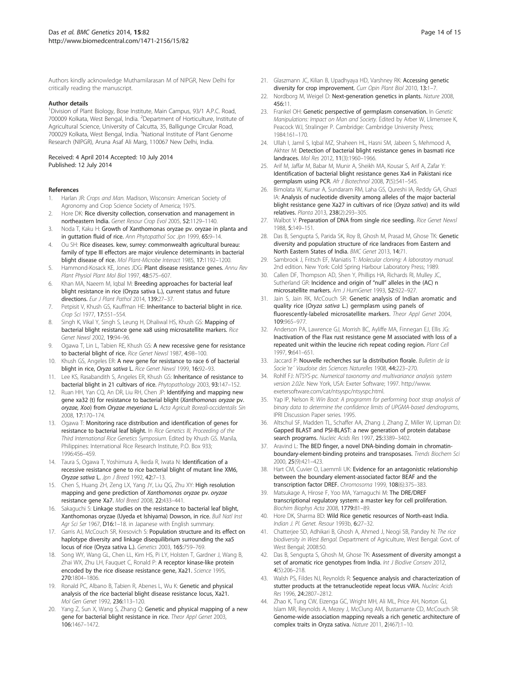<span id="page-13-0"></span>Authors kindly acknowledge Muthamilarasan M of NIPGR, New Delhi for critically reading the manuscript.

#### Author details

<sup>1</sup> Division of Plant Biology, Bose Institute, Main Campus, 93/1 A.P.C. Road, 700009 Kolkata, West Bengal, India. <sup>2</sup>Department of Horticulture, Institute of Agricultural Science, University of Calcutta, 35, Balligunge Circular Road, 700029 Kolkata, West Bengal, India. <sup>3</sup>National Institute of Plant Genome Research (NIPGR), Aruna Asaf Ali Marg, 110067 New Delhi, India.

#### Received: 4 April 2014 Accepted: 10 July 2014 Published: 12 July 2014

#### References

- Harlan JR: Crops and Man. Madison, Wisconsin: American Society of Agronomy and Crop Science Society of America; 1975.
- 2. Hore DK: Rice diversity collection, conservation and management in northeastern India. Genet Resour Crop Evol 2005, 52:1129–1140.
- 3. Noda T, Kaku H: Growth of Xanthomonas oryzae pv. oryzae in planta and in guttation fluid of rice. Ann Phytopathol Soc Jpn 1999, 65:9-14.
- 4. Ou SH: Rice diseases. kew, surrey: commonwealth agricultural bureau: family of type III effectors are major virulence determinants in bacterial blight disease of rice. Mol Plant-Microbe Interact 1985, 17:1192–1200.
- 5. Hammond-Kosack KE, Jones JDG: Plant disease resistance genes. Annu Rev Plant Physiol Plant Mol Biol 1997, 48:575–607.
- 6. Khan MA, Naeem M, Iqbal M: Breeding approaches for bacterial leaf blight resistance in rice (Oryza sativa L.), current status and future directions. Eur J Plant Pathol 2014, 139:27–37.
- 7. Petpisit V, Khush GS, Kauffman HE: Inheritance to bacterial blight in rice. Crop Sci 1977, 17:551–554.
- 8. Singh K, Vikal Y, Singh S, Leung H, Dhaliwal HS, Khush GS: Mapping of bacterial blight resistance gene xa8 using microsatellite markers. Rice Genet Newsl 2002, 19:94–96.
- 9. Ogawa T, Lin L, Tabien RE, Khush GS: A new recessive gene for resistance to bacterial blight of rice. Rice Genet Newsl 1987, 4:98–100.
- 10. Khush GS, Angeles ER: A new gene for resistance to race 6 of bacterial blight in rice, Oryza sativa L. Rice Genet Newsl 1999, 16:92–93.
- 11. Lee KS, Rasabandith S, Angeles ER, Khush GS: Inheritance of resistance to bacterial blight in 21 cultivars of rice. Phytopathology 2003, 93:147-152.
- 12. Ruan HH, Yan CQ, An DR, Liu RH, Chen JP: Identifying and mapping new gene xa32 (t) for resistance to bacterial blight (Xanthomonas oryzae pv. oryzae, Xoo) from Oryzae meyeriana L. Acta Agricult Boreali-occidentalis Sin 2008, 17:170–174.
- 13. Ogawa T: Monitoring race distribution and identification of genes for resistance to bacterial leaf blight. In Rice Genetics III, Proceeding of the Third International Rice Genetics Symposium. Edited by Khush GS. Manila, Philippines: International Rice Research Institute, P.O. Box 933; 1996:456–459.
- 14. Taura S, Ogawa T, Yoshimura A, Ikeda R, Iwata N: Identification of a recessive resistance gene to rice bacterial blight of mutant line XM6, Oryzae sativa L. Jpn J Breed 1992, 42:7-13.
- 15. Chen S, Huang ZH, Zeng LX, Yang JY, Liu QG, Zhu XY: High resolution mapping and gene prediction of Xanthomonas oryzae pv. oryzae resistance gene Xa7. Mol Breed 2008, 22:433–441.
- 16. Sakaguchi S: Linkage studies on the resistance to bacterial leaf blight, Xanthomonas oryzae (Uyeda et Ishiyama) Dowson, in rice. Bull Natl Inst Agr Sci Ser 1967, D16:1-18. in Japanese with English summary.
- 17. Garris AJ, McCouch SR, Kresovich S: Population structure and its effect on haplotype diversity and linkage disequilibrium surrounding the xa5 locus of rice (Oryza sativa L.). Genetics 2003, 165:759–769.
- 18. Song WY, Wang GL, Chen LL, Kim HS, Pi LY, Holsten T, Gardner J, Wang B, Zhai WX, Zhu LH, Fauquet C, Ronald P: A receptor kinase-like protein encoded by the rice disease resistance gene, Xa21. Science 1995, 270:1804–1806.
- 19. Ronald PC, Albano B, Tabien R, Abenes L, Wu K: Genetic and physical analysis of the rice bacterial blight disease resistance locus, Xa21. Mol Gen Genet 1992, 236:113–120.
- 20. Yang Z, Sun X, Wang S, Zhang Q: Genetic and physical mapping of a new gene for bacterial blight resistance in rice. Theor Appl Genet 2003, 106:1467–1472.
- 21. Glaszmann JC, Kilian B, Upadhyaya HD, Varshney RK: Accessing genetic diversity for crop improvement. Curr Opin Plant Biol 2010, 13:1-7.
- 22. Nordborg M, Weigel D: Next-generation genetics in plants. Nature 2008, 456:11.
- 23. Frankel OH: Genetic perspective of germplasm conservation. In Genetic Manipulations: Impact on Man and Society. Edited by Arber W, Llimensee K, Peacock WJ, Stralinger P. Cambridge: Cambridge University Press; 1984:161–170.
- 24. Ullah I, Jamil S, Iqbal MZ, Shaheen HL, Hasni SM, Jabeen S, Mehmood A, Akhter M: Detection of bacterial blight resistance genes in basmati rice landraces. Mol Res 2012, 11(3):1960–1966.
- 25. Arif M, Jaffar M, Babar M, Munir A, Sheikh MA, Kousar S, Arif A, Zafar Y: Identification of bacterial blight resistance genes Xa4 in Pakistani rice germplasm using PCR. Afr J Biotechnol 2008, 7(5):541–545.
- 26. Bimolata W, Kumar A, Sundaram RM, Laha GS, Qureshi IA, Reddy GA, Ghazi IA: Analysis of nucleotide diversity among alleles of the major bacterial blight resistance gene Xa27 in cultivars of rice (Oryza sativa) and its wild relatives. Planta 2013, 238(2):293–305.
- 27. Walbot V: Preparation of DNA from single rice seedling. Rice Genet Newsl 1988, 5:149–151.
- 28. Das B, Sengupta S, Parida SK, Roy B, Ghosh M, Prasad M, Ghose TK: Genetic diversity and population structure of rice landraces from Eastern and North Eastern States of India. BMC Genet 2013, 14:71.
- 29. Sambrook J, Fritsch EF, Maniatis T: Molecular cloning: A laboratory manual. 2nd edition. New York: Cold Spring Harbour Laboratory Press; 1989.
- 30. Callen DF, Thompson AD, Shen Y, Phillips HA, Richards RI, Mulley JC, Sutherland GR: Incidence and origin of "null" alleles in the (AC) n microsatellite markers. Am J HumGenet 1993, 52:922-927.
- Jain S, Jain RK, McCouch SR: Genetic analysis of Indian aromatic and quality rice (Oryza sativa L.) germplasm using panels of fluorescently-labeled microsatellite markers. Theor Appl Genet 2004, 109:965–977.
- 32. Anderson PA, Lawrence GJ, Morrish BC, Ayliffe MA, Finnegan EJ, Ellis JG: Inactivation of the Flax rust resistance gene M associated with loss of a repeated unit within the leucine rich repeat coding region. Plant Cell 1997, 9:641–651.
- 33. Jaccard P: Nouvelle recherches sur la distribution florale. Bulletin de la Socie'te' Vaudoise des Sciences Naturelles 1908, 44:223-270.
- 34. Rohlf FJ: NTSYS-pc. Numerical taxonomy and multivariance analysis system version 2.02e. New York, USA: Exeter Software; 1997. [http://www.](http://www.exetersoftware.com/cat/ntsyspc/ntsyspc.html) [exetersoftware.com/cat/ntsyspc/ntsyspc.html.](http://www.exetersoftware.com/cat/ntsyspc/ntsyspc.html)
- 35. Yap IP, Nelson R: Win Boot: A programm for performing boot strap analysis of binary data to determine the confidence limits of UPGMA-based dendrograms, IPRI Discussion Paper series. 1995.
- 36. Altschul SF, Madden TL, Schaffer AA, Zhang J, Zhang Z, Miller W, Lipman DJ: Gapped BLAST and PSI-BLAST: a new generation of protein database search programs. Nucleic Acids Res 1997, 25:3389-3402.
- 37. Aravind L: The BED finger, a novel DNA-binding domain in chromatinboundary-element-binding proteins and transposases. Trends Biochem Sci 2000, 25(9):421–423.
- 38. Hart CM, Cuvier O, Laemmli UK: Evidence for an antagonistic relationship between the boundary element-associated factor BEAF and the transcription factor DREF. Chromosoma 1999, 108(6):375–383.
- 39. Matsukage A, Hirose F, Yoo MA, Yamaguchi M: The DRE/DREF transcriptional regulatory system: a master key for cell proliferation. Biochim Biophys Acta 2008, 1779:81–89.
- 40. Hore DK, Sharma BD: Wild Rice genetic resources of North-east India. Indian J. Pl. Genet. Resour 1993b, 6:27–32.
- 41. Chatterjee SD, Adhikari B, Ghosh A, Ahmed J, Neogi SB, Pandey N: The rice biodiversity in West Bengal. Department of Agriculture, West Bengal: Govt. of West Bengal; 2008:50.
- 42. Das B, Sengupta S, Ghosh M, Ghose TK: Assessment of diversity amongst a set of aromatic rice genotypes from India. Int J Biodive Conserv 2012, 4(5):206–218.
- 43. Walsh PS, Fildes NJ, Reynolds R: Sequence analysis and characterization of stutter products at the tetranucleotide repeat locus vWA. Nucleic Acids Res 1996, 24:2807–2812.
- 44. Zhao K, Tung CW, Eizenga GC, Wright MH, Ali ML, Price AH, Norton GJ, Islam MR, Reynolds A, Mezey J, McClung AM, Bustamante CD, McCouch SR: Genome-wide association mapping reveals a rich genetic architecture of complex traits in Oryza sativa. Nature 2011, 2(467):1–10.